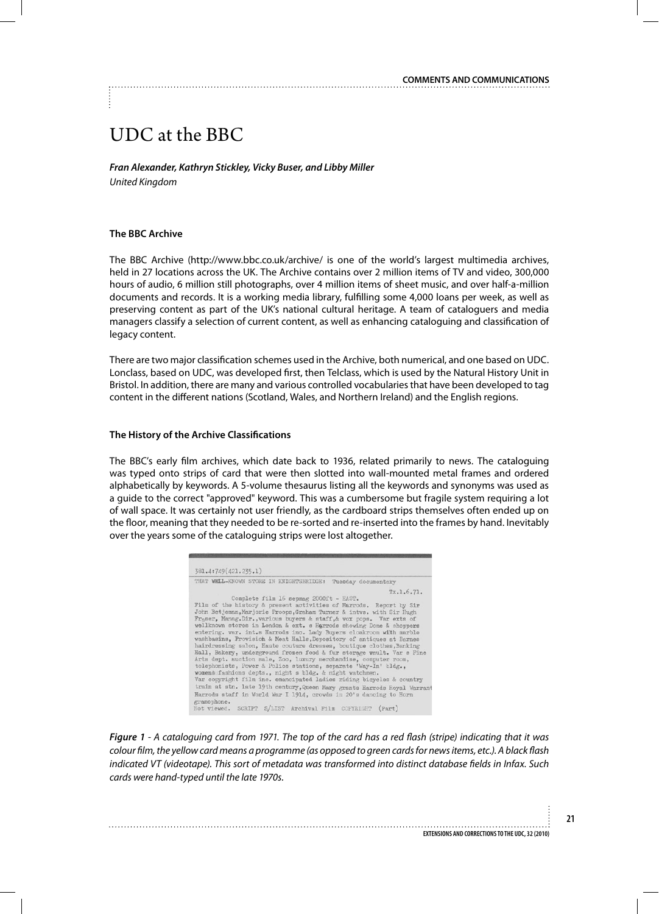# UDC at the BBC

*Fran Alexander, Kathryn Stickley, Vicky Buser, and Libby Miller United Kingdom*

## **The BBC Archive**

The BBC Archive (http://www.bbc.co.uk/archive/ is one of the world's largest multimedia archives, held in 27 locations across the UK. The Archive contains over 2 million items of TV and video, 300,000 hours of audio, 6 million still photographs, over 4 million items of sheet music, and over half-a-million documents and records. It is a working media library, fulfilling some 4,000 loans per week, as well as preserving content as part of the UK's national cultural heritage. A team of cataloguers and media managers classify a selection of current content, as well as enhancing cataloguing and classification of legacy content.

There are two major classification schemes used in the Archive, both numerical, and one based on UDC. Lonclass, based on UDC, was developed first, then Telclass, which is used by the Natural History Unit in Bristol. In addition, there are many and various controlled vocabularies that have been developed to tag content in the different nations (Scotland, Wales, and Northern Ireland) and the English regions.

### **The History of the Archive Classifications**

The BBC's early film archives, which date back to 1936, related primarily to news. The cataloguing was typed onto strips of card that were then slotted into wall-mounted metal frames and ordered alphabetically by keywords. A 5-volume thesaurus listing all the keywords and synonyms was used as a guide to the correct "approved" keyword. This was a cumbersome but fragile system requiring a lot of wall space. It was certainly not user friendly, as the cardboard strips themselves often ended up on the floor, meaning that they needed to be re-sorted and re-inserted into the frames by hand. Inevitably over the years some of the cataloguing strips were lost altogether.

*Figure 1 - A cataloguing card from 1971. The top of the card has a red flash (stripe) indicating that it was colour film, the yellow card means a programme (as opposed to green cards for news items, etc.). A black flash indicated VT (videotape). This sort of metadata was transformed into distinct database fields in Infax. Such cards were hand-typed until the late 1970s.*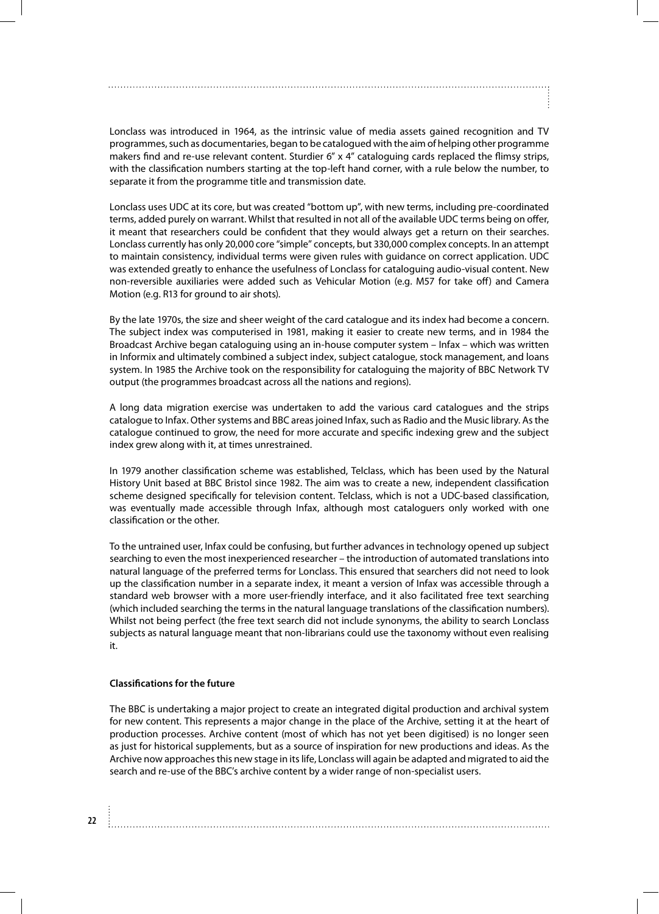Lonclass was introduced in 1964, as the intrinsic value of media assets gained recognition and TV programmes, such as documentaries, began to be catalogued with the aim of helping other programme makers find and re-use relevant content. Sturdier 6" x 4" cataloguing cards replaced the flimsy strips, with the classification numbers starting at the top-left hand corner, with a rule below the number, to separate it from the programme title and transmission date.

Lonclass uses UDC at its core, but was created "bottom up", with new terms, including pre-coordinated terms, added purely on warrant. Whilst that resulted in not all of the available UDC terms being on offer, it meant that researchers could be confident that they would always get a return on their searches. Lonclass currently has only 20,000 core "simple" concepts, but 330,000 complex concepts. In an attempt to maintain consistency, individual terms were given rules with guidance on correct application. UDC was extended greatly to enhance the usefulness of Lonclass for cataloguing audio-visual content. New non-reversible auxiliaries were added such as Vehicular Motion (e.g. M57 for take off) and Camera Motion (e.g. R13 for ground to air shots).

By the late 1970s, the size and sheer weight of the card catalogue and its index had become a concern. The subject index was computerised in 1981, making it easier to create new terms, and in 1984 the Broadcast Archive began cataloguing using an in-house computer system – Infax – which was written in Informix and ultimately combined a subject index, subject catalogue, stock management, and loans system. In 1985 the Archive took on the responsibility for cataloguing the majority of BBC Network TV output (the programmes broadcast across all the nations and regions).

A long data migration exercise was undertaken to add the various card catalogues and the strips catalogue to Infax. Other systems and BBC areas joined Infax, such as Radio and the Music library. As the catalogue continued to grow, the need for more accurate and specific indexing grew and the subject index grew along with it, at times unrestrained.

In 1979 another classification scheme was established, Telclass, which has been used by the Natural History Unit based at BBC Bristol since 1982. The aim was to create a new, independent classification scheme designed specifically for television content. Telclass, which is not a UDC-based classification, was eventually made accessible through Infax, although most cataloguers only worked with one classification or the other.

To the untrained user, Infax could be confusing, but further advances in technology opened up subject searching to even the most inexperienced researcher – the introduction of automated translations into natural language of the preferred terms for Lonclass. This ensured that searchers did not need to look up the classification number in a separate index, it meant a version of Infax was accessible through a standard web browser with a more user-friendly interface, and it also facilitated free text searching (which included searching the terms in the natural language translations of the classification numbers). Whilst not being perfect (the free text search did not include synonyms, the ability to search Lonclass subjects as natural language meant that non-librarians could use the taxonomy without even realising it.

## **Classifications for the future**

**22**

The BBC is undertaking a major project to create an integrated digital production and archival system for new content. This represents a major change in the place of the Archive, setting it at the heart of production processes. Archive content (most of which has not yet been digitised) is no longer seen as just for historical supplements, but as a source of inspiration for new productions and ideas. As the Archive now approaches this new stage in its life, Lonclass will again be adapted and migrated to aid the search and re-use of the BBC's archive content by a wider range of non-specialist users.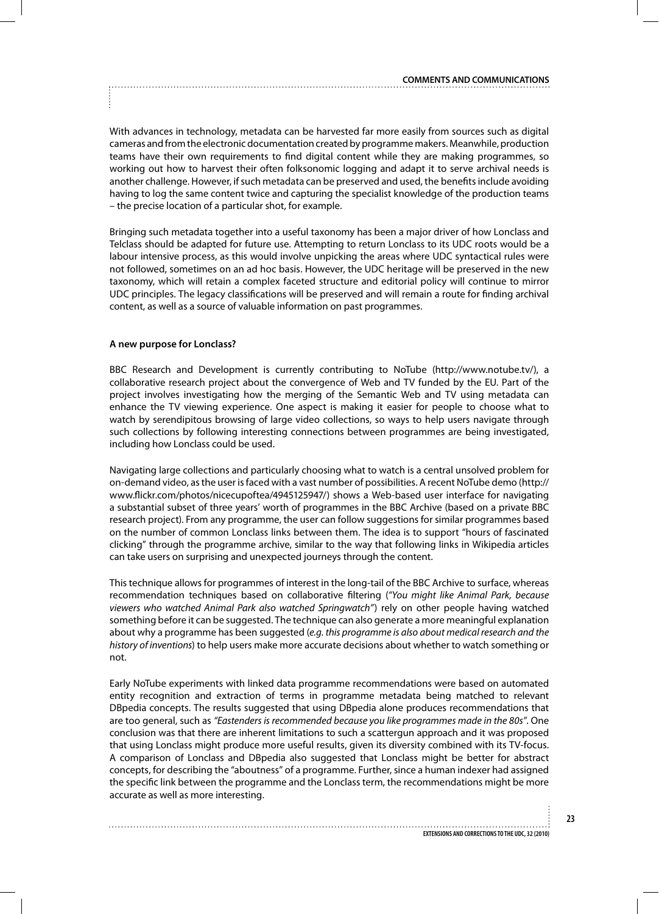With advances in technology, metadata can be harvested far more easily from sources such as digital cameras and from the electronic documentation created by programme makers. Meanwhile, production teams have their own requirements to find digital content while they are making programmes, so working out how to harvest their often folksonomic logging and adapt it to serve archival needs is another challenge. However, if such metadata can be preserved and used, the benefits include avoiding having to log the same content twice and capturing the specialist knowledge of the production teams – the precise location of a particular shot, for example.

Bringing such metadata together into a useful taxonomy has been a major driver of how Lonclass and Telclass should be adapted for future use. Attempting to return Lonclass to its UDC roots would be a labour intensive process, as this would involve unpicking the areas where UDC syntactical rules were not followed, sometimes on an ad hoc basis. However, the UDC heritage will be preserved in the new taxonomy, which will retain a complex faceted structure and editorial policy will continue to mirror UDC principles. The legacy classifications will be preserved and will remain a route for finding archival content, as well as a source of valuable information on past programmes.

## **A new purpose for Lonclass?**

BBC Research and Development is currently contributing to NoTube (http://www.notube.tv/), a collaborative research project about the convergence of Web and TV funded by the EU. Part of the project involves investigating how the merging of the Semantic Web and TV using metadata can enhance the TV viewing experience. One aspect is making it easier for people to choose what to watch by serendipitous browsing of large video collections, so ways to help users navigate through such collections by following interesting connections between programmes are being investigated, including how Lonclass could be used.

Navigating large collections and particularly choosing what to watch is a central unsolved problem for on-demand video, as the user is faced with a vast number of possibilities. A recent NoTube demo (http:// www.flickr.com/photos/nicecupoftea/4945125947/) shows a Web-based user interface for navigating a substantial subset of three years' worth of programmes in the BBC Archive (based on a private BBC research project). From any programme, the user can follow suggestions for similar programmes based on the number of common Lonclass links between them. The idea is to support "hours of fascinated clicking" through the programme archive, similar to the way that following links in Wikipedia articles can take users on surprising and unexpected journeys through the content.

This technique allows for programmes of interest in the long-tail of the BBC Archive to surface, whereas recommendation techniques based on collaborative filtering (*"You might like Animal Park, because viewers who watched Animal Park also watched Springwatch"*) rely on other people having watched something before it can be suggested. The technique can also generate a more meaningful explanation about why a programme has been suggested (*e.g. this programme is also about medical research and the history of inventions*) to help users make more accurate decisions about whether to watch something or not.

Early NoTube experiments with linked data programme recommendations were based on automated entity recognition and extraction of terms in programme metadata being matched to relevant DBpedia concepts. The results suggested that using DBpedia alone produces recommendations that are too general, such as *"Eastenders is recommended because you like programmes made in the 80s"*. One conclusion was that there are inherent limitations to such a scattergun approach and it was proposed that using Lonclass might produce more useful results, given its diversity combined with its TV-focus. A comparison of Lonclass and DBpedia also suggested that Lonclass might be better for abstract concepts, for describing the "aboutness" of a programme. Further, since a human indexer had assigned the specific link between the programme and the Lonclass term, the recommendations might be more accurate as well as more interesting.